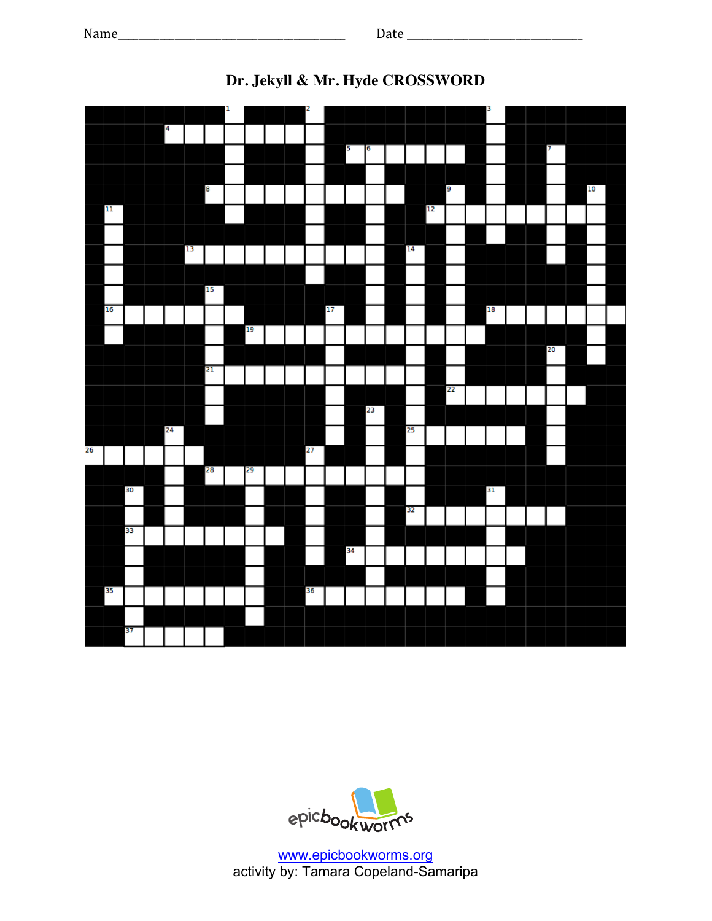

## **Dr. Jekyll & Mr. Hyde CROSSWORD**



www.epicbookworms.org activity by: Tamara Copeland-Samaripa